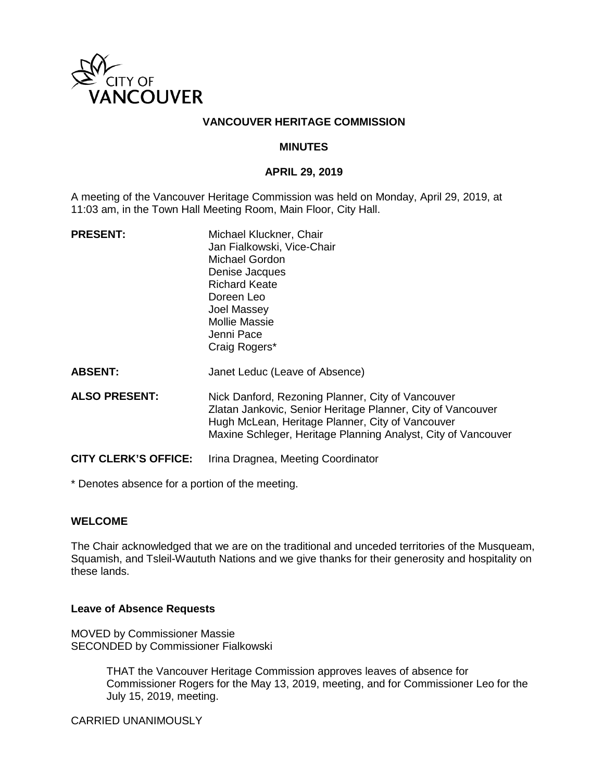

## **VANCOUVER HERITAGE COMMISSION**

#### **MINUTES**

#### **APRIL 29, 2019**

A meeting of the Vancouver Heritage Commission was held on Monday, April 29, 2019, at 11:03 am, in the Town Hall Meeting Room, Main Floor, City Hall.

| <b>PRESENT:</b>      | Michael Kluckner, Chair                                                                                          |
|----------------------|------------------------------------------------------------------------------------------------------------------|
|                      | Jan Fialkowski, Vice-Chair                                                                                       |
|                      | Michael Gordon                                                                                                   |
|                      | Denise Jacques                                                                                                   |
|                      | Richard Keate                                                                                                    |
|                      | Doreen Leo                                                                                                       |
|                      | Joel Massey                                                                                                      |
|                      | Mollie Massie                                                                                                    |
|                      | Jenni Pace                                                                                                       |
|                      | Craig Rogers*                                                                                                    |
| <b>ABSENT:</b>       | Janet Leduc (Leave of Absence)                                                                                   |
| <b>ALSO PRESENT:</b> | Nick Danford, Rezoning Planner, City of Vancouver<br>Zlatan Jankovic, Senior Heritage Planner, City of Vancouver |
|                      | Hugh McLean, Heritage Planner, City of Vancouver                                                                 |

**CITY CLERK'S OFFICE:** Irina Dragnea, Meeting Coordinator

\* Denotes absence for a portion of the meeting.

#### **WELCOME**

The Chair acknowledged that we are on the traditional and unceded territories of the Musqueam, Squamish, and Tsleil-Waututh Nations and we give thanks for their generosity and hospitality on these lands.

Maxine Schleger, Heritage Planning Analyst, City of Vancouver

#### **Leave of Absence Requests**

MOVED by Commissioner Massie SECONDED by Commissioner Fialkowski

> THAT the Vancouver Heritage Commission approves leaves of absence for Commissioner Rogers for the May 13, 2019, meeting, and for Commissioner Leo for the July 15, 2019, meeting.

CARRIED UNANIMOUSLY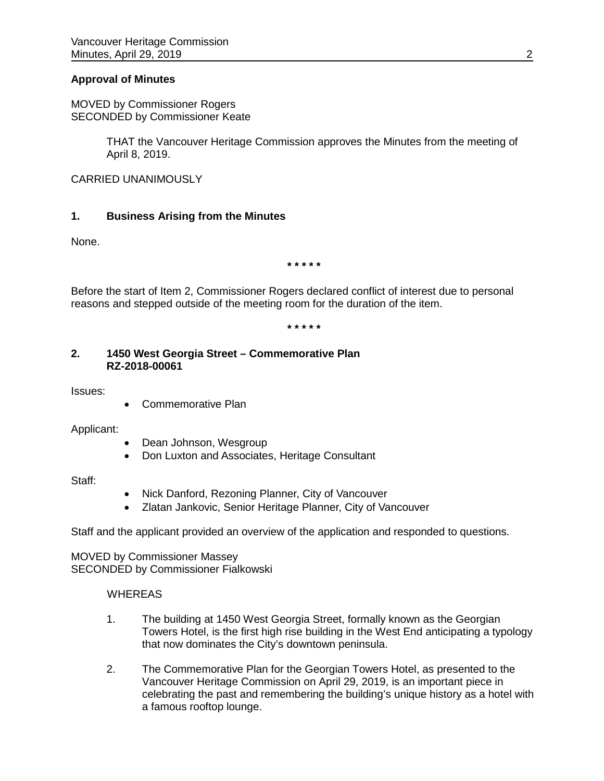## **Approval of Minutes**

MOVED by Commissioner Rogers SECONDED by Commissioner Keate

> THAT the Vancouver Heritage Commission approves the Minutes from the meeting of April 8, 2019.

CARRIED UNANIMOUSLY

## **1. Business Arising from the Minutes**

None.

**\* \* \* \* \***

Before the start of Item 2, Commissioner Rogers declared conflict of interest due to personal reasons and stepped outside of the meeting room for the duration of the item.

**\* \* \* \* \***

## **2. 1450 West Georgia Street – Commemorative Plan RZ-2018-00061**

Issues:

• Commemorative Plan

Applicant:

- Dean Johnson, Wesgroup
- Don Luxton and Associates, Heritage Consultant

Staff:

- Nick Danford, Rezoning Planner, City of Vancouver
- Zlatan Jankovic, Senior Heritage Planner, City of Vancouver

Staff and the applicant provided an overview of the application and responded to questions.

MOVED by Commissioner Massey SECONDED by Commissioner Fialkowski

# **WHEREAS**

- 1. The building at 1450 West Georgia Street, formally known as the Georgian Towers Hotel, is the first high rise building in the West End anticipating a typology that now dominates the City's downtown peninsula.
- 2. The Commemorative Plan for the Georgian Towers Hotel, as presented to the Vancouver Heritage Commission on April 29, 2019, is an important piece in celebrating the past and remembering the building's unique history as a hotel with a famous rooftop lounge.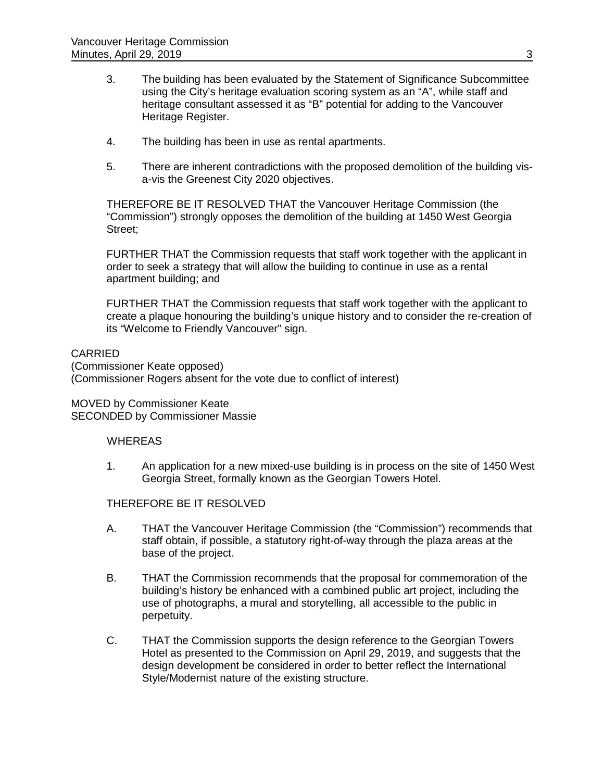- 3. The building has been evaluated by the Statement of Significance Subcommittee using the City's heritage evaluation scoring system as an "A", while staff and heritage consultant assessed it as "B" potential for adding to the Vancouver Heritage Register.
- 4. The building has been in use as rental apartments.
- 5. There are inherent contradictions with the proposed demolition of the building visa-vis the Greenest City 2020 objectives.

THEREFORE BE IT RESOLVED THAT the Vancouver Heritage Commission (the "Commission") strongly opposes the demolition of the building at 1450 West Georgia Street;

FURTHER THAT the Commission requests that staff work together with the applicant in order to seek a strategy that will allow the building to continue in use as a rental apartment building; and

FURTHER THAT the Commission requests that staff work together with the applicant to create a plaque honouring the building's unique history and to consider the re-creation of its "Welcome to Friendly Vancouver" sign.

## CARRIED

(Commissioner Keate opposed) (Commissioner Rogers absent for the vote due to conflict of interest)

MOVED by Commissioner Keate SECONDED by Commissioner Massie

#### **WHEREAS**

1. An application for a new mixed-use building is in process on the site of 1450 West Georgia Street, formally known as the Georgian Towers Hotel.

#### THEREFORE BE IT RESOLVED

- A. THAT the Vancouver Heritage Commission (the "Commission") recommends that staff obtain, if possible, a statutory right-of-way through the plaza areas at the base of the project.
- B. THAT the Commission recommends that the proposal for commemoration of the building's history be enhanced with a combined public art project, including the use of photographs, a mural and storytelling, all accessible to the public in perpetuity.
- C. THAT the Commission supports the design reference to the Georgian Towers Hotel as presented to the Commission on April 29, 2019, and suggests that the design development be considered in order to better reflect the International Style/Modernist nature of the existing structure.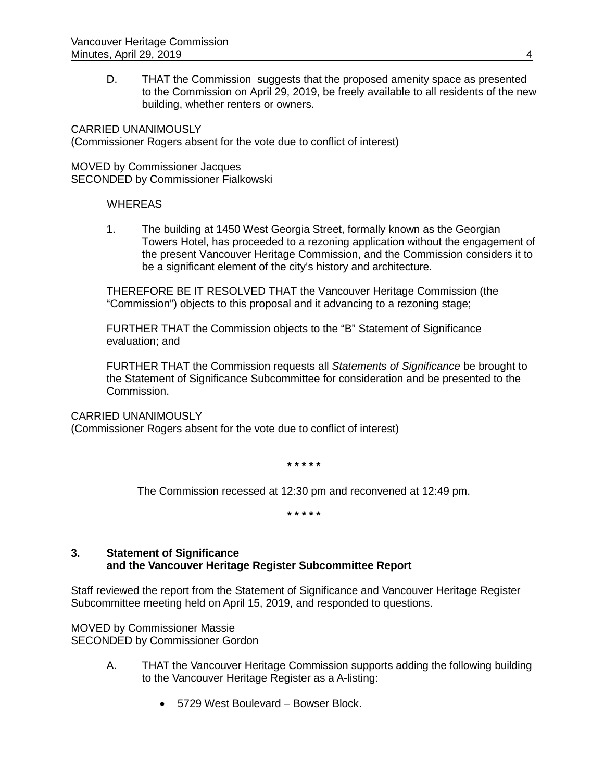D. THAT the Commission suggests that the proposed amenity space as presented to the Commission on April 29, 2019, be freely available to all residents of the new building, whether renters or owners.

CARRIED UNANIMOUSLY (Commissioner Rogers absent for the vote due to conflict of interest)

MOVED by Commissioner Jacques SECONDED by Commissioner Fialkowski

## **WHEREAS**

1. The building at 1450 West Georgia Street, formally known as the Georgian Towers Hotel, has proceeded to a rezoning application without the engagement of the present Vancouver Heritage Commission, and the Commission considers it to be a significant element of the city's history and architecture.

THEREFORE BE IT RESOLVED THAT the Vancouver Heritage Commission (the "Commission") objects to this proposal and it advancing to a rezoning stage;

FURTHER THAT the Commission objects to the "B" Statement of Significance evaluation; and

FURTHER THAT the Commission requests all *Statements of Significance* be brought to the Statement of Significance Subcommittee for consideration and be presented to the Commission.

#### CARRIED UNANIMOUSLY

(Commissioner Rogers absent for the vote due to conflict of interest)

**\* \* \* \* \***

The Commission recessed at 12:30 pm and reconvened at 12:49 pm.

**\* \* \* \* \***

# **3. Statement of Significance and the Vancouver Heritage Register Subcommittee Report**

Staff reviewed the report from the Statement of Significance and Vancouver Heritage Register Subcommittee meeting held on April 15, 2019, and responded to questions.

MOVED by Commissioner Massie SECONDED by Commissioner Gordon

- A. THAT the Vancouver Heritage Commission supports adding the following building to the Vancouver Heritage Register as a A-listing:
	- 5729 West Boulevard Bowser Block.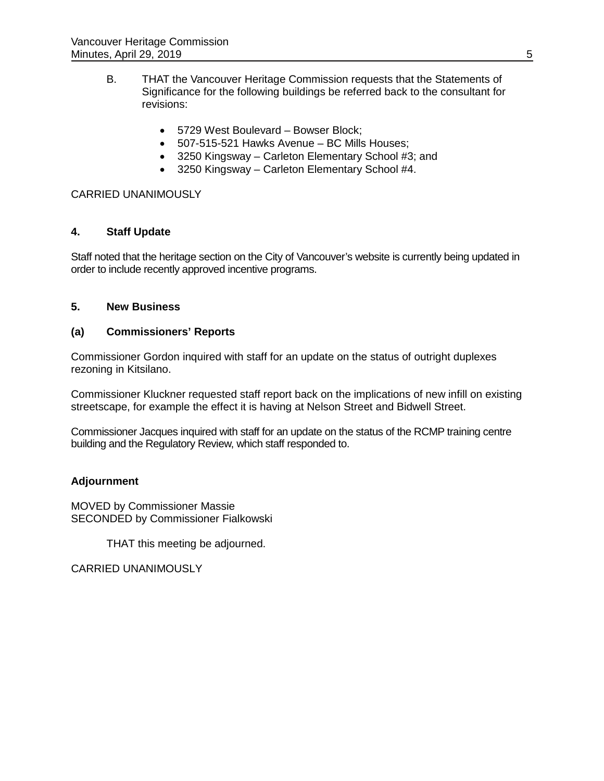- B. THAT the Vancouver Heritage Commission requests that the Statements of Significance for the following buildings be referred back to the consultant for revisions:
	- 5729 West Boulevard Bowser Block;
	- 507-515-521 Hawks Avenue BC Mills Houses;
	- 3250 Kingsway Carleton Elementary School #3; and
	- 3250 Kingsway Carleton Elementary School #4.

# CARRIED UNANIMOUSLY

# **4. Staff Update**

Staff noted that the heritage section on the City of Vancouver's website is currently being updated in order to include recently approved incentive programs.

## **5. New Business**

# **(a) Commissioners' Reports**

Commissioner Gordon inquired with staff for an update on the status of outright duplexes rezoning in Kitsilano.

Commissioner Kluckner requested staff report back on the implications of new infill on existing streetscape, for example the effect it is having at Nelson Street and Bidwell Street.

Commissioner Jacques inquired with staff for an update on the status of the RCMP training centre building and the Regulatory Review, which staff responded to.

# **Adjournment**

MOVED by Commissioner Massie SECONDED by Commissioner Fialkowski

THAT this meeting be adjourned.

CARRIED UNANIMOUSLY